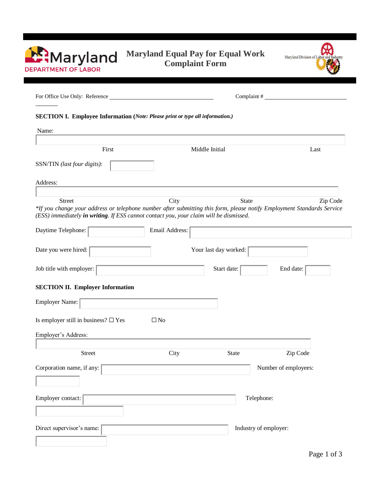| <b>Maryland</b>            |
|----------------------------|
| <b>DEPARTMENT OF LABOR</b> |

# **Maryland Equal Pay for Equal Work Complaint Form**



| SECTION I. Employee Information (Note: Please print or type all information.)                                                                                                                                                     |                |                       |                       |  |  |
|-----------------------------------------------------------------------------------------------------------------------------------------------------------------------------------------------------------------------------------|----------------|-----------------------|-----------------------|--|--|
| Name:                                                                                                                                                                                                                             |                |                       |                       |  |  |
| First                                                                                                                                                                                                                             |                | Middle Initial        | Last                  |  |  |
| SSN/TIN (last four digits):                                                                                                                                                                                                       |                |                       |                       |  |  |
| Address:                                                                                                                                                                                                                          |                |                       |                       |  |  |
| <b>Street</b><br>*If you change your address or telephone number after submitting this form, please notify Employment Standards Service<br>(ESS) immediately in writing. If ESS cannot contact you, your claim will be dismissed. | City           | <b>State</b>          | Zip Code              |  |  |
| Daytime Telephone:                                                                                                                                                                                                                | Email Address: |                       |                       |  |  |
| Date you were hired:                                                                                                                                                                                                              |                | Your last day worked: |                       |  |  |
| Job title with employer:                                                                                                                                                                                                          |                | Start date:           | End date:             |  |  |
| <b>SECTION II. Employer Information</b>                                                                                                                                                                                           |                |                       |                       |  |  |
| <b>Employer Name:</b>                                                                                                                                                                                                             |                |                       |                       |  |  |
| Is employer still in business? $\square$ Yes                                                                                                                                                                                      | $\square$ No   |                       |                       |  |  |
| Employer's Address:                                                                                                                                                                                                               |                |                       |                       |  |  |
| Street                                                                                                                                                                                                                            | City           | <b>State</b>          | Zip Code              |  |  |
| Corporation name, if any:                                                                                                                                                                                                         |                |                       | Number of employees:  |  |  |
|                                                                                                                                                                                                                                   |                |                       |                       |  |  |
| Employer contact:                                                                                                                                                                                                                 |                |                       | Telephone:            |  |  |
| Direct supervisor's name:                                                                                                                                                                                                         |                |                       | Industry of employer: |  |  |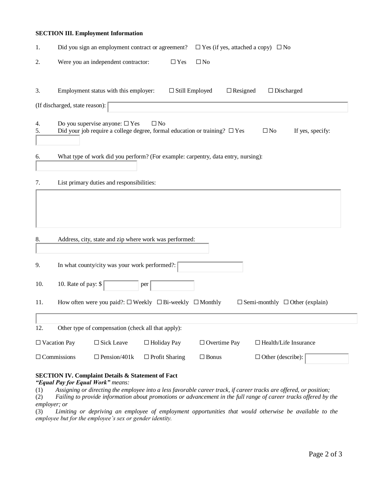### **SECTION III. Employment Information**

| 1.       |                                | Did you sign an employment contract or agreement?  |                                                                                                    | $\Box$ Yes (if yes, attached a copy) $\Box$ No |                                            |  |
|----------|--------------------------------|----------------------------------------------------|----------------------------------------------------------------------------------------------------|------------------------------------------------|--------------------------------------------|--|
| 2.       |                                | Were you an independent contractor:                | $\Box$ Yes                                                                                         | $\square$ No                                   |                                            |  |
| 3.       |                                | Employment status with this employer:              | $\Box$ Still Employed                                                                              | $\Box$ Resigned                                | $\Box$ Discharged                          |  |
|          | (If discharged, state reason): |                                                    |                                                                                                    |                                                |                                            |  |
| 4.<br>5. |                                | Do you supervise anyone: $\Box$ Yes                | $\square$ No<br>Did your job require a college degree, formal education or training? $\square$ Yes |                                                | $\square$ No<br>If yes, specify:           |  |
| 6.       |                                |                                                    | What type of work did you perform? (For example: carpentry, data entry, nursing):                  |                                                |                                            |  |
| 7.       |                                | List primary duties and responsibilities:          |                                                                                                    |                                                |                                            |  |
| 8.       |                                |                                                    | Address, city, state and zip where work was performed:                                             |                                                |                                            |  |
| 9.       |                                | In what county/city was your work performed?:      |                                                                                                    |                                                |                                            |  |
| 10.      | 10. Rate of pay: \$            |                                                    | per                                                                                                |                                                |                                            |  |
| 11.      |                                |                                                    | How often were you paid?: $\square$ Weekly $\square$ Bi-weekly $\square$ Monthly                   |                                                | $\Box$ Semi-monthly $\Box$ Other (explain) |  |
| 12.      |                                | Other type of compensation (check all that apply): |                                                                                                    |                                                |                                            |  |
|          | $\Box$ Vacation Pay            | $\square$ Sick Leave                               | $\Box$ Holiday Pay                                                                                 | $\Box$ Overtime Pay                            | $\Box$ Health/Life Insurance               |  |
|          | $\Box$ Commissions             | $\Box$ Pension/401k                                | $\Box$ Profit Sharing                                                                              | $\square$ Bonus                                | $\Box$ Other (describe):                   |  |

## **SECTION IV. Complaint Details & Statement of Fact**

*"Equal Pay for Equal Work" means:*

(1) *Assigning or directing the employee into a less favorable career track, if career tracks are offered, or position;*

(2) *Failing to provide information about promotions or advancement in the full range of career tracks offered by the employer; or*

(3) *Limiting or depriving an employee of employment opportunities that would otherwise be available to the employee but for the employee's sex or gender identity.*